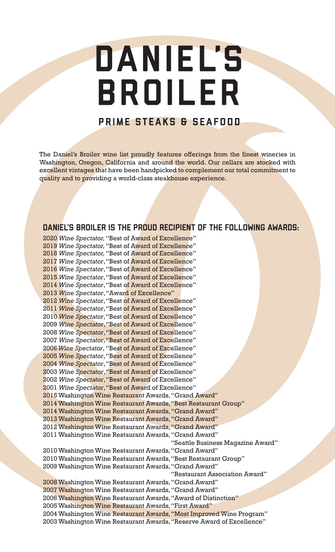# DANIEL'S BROILER

### PRIME STEAKS & SEAFOOD

The Daniel's Broiler wine list proudly features offerings from the finest wineries in Washington, Oregon, California and around the world. Our cellars are stocked with excellent vintages that have been handpicked to complement our total commitment to quality and to providing a world-class steakhouse experience.

### DANIEL'S BROILER IS THE PROUD RECIPIENT OF THE FOLLOWING AWARDS:

2020 *Wine Spectator,* "Best of Award of Excellence" 2019 *Wine Spectator,* "Best of Award of Excellence" 2018 *Wine Spectator,* "Best of Award of Excellence" 2017 *Wine Spectator*, "Best of Award of Excellence" 2016 *Wine Spectator*, "Best of Award of Excellence" 2015 *Wine Spectator*, "Best of Award of Excellence" 2014 *Wine Spectator*, "Best of Award of Excellence" 2013 *Wine Spectator*, "Award of Excellence" 2012 *Wine Spectator*, "Best of Award of Excellence" 2011 *Wine Spectator*, "Best of Award of Excellence" 2010 *Wine Spectator*, "Best of Award of Excellence" 2009 *Wine Spectator*, "Best of Award of Excellence" 2008 *Wine Spectator*, "Best of Award of Excellence" 2007 *Wine Spectator*, "Best of Award of Excellence" 2006 *Wine Spectator*, "Best of Award of Excellence" 2005 *Wine Spectator*, "Best of Award of Excellence" 2004 *Wine Spectator*, "Best of Award of Excellence" 2003 *Wine Spectator*, "Best of Award of Excellence" 2002 *Wine Spectator*, "Best of Award of Excellence" 2001 *Wine Spectator*, "Best of Award of Excellence" 2015 Washington Wine Restaurant Awards, "Grand Award" 2014 Washington Wine Restaurant Awards, "Best Restaurant Group" 2014 Washington Wine Restaurant Awards, "Grand Award" 2013 Washington Wine Restaurant Awards, "Grand Award" 2012 Washington Wine Restaurant Awards, "Grand Award" 2011 Washington Wine Restaurant Awards, "Grand Award" "Seattle Business Magazine Award" 2010 Washington Wine Restaurant Awards, "Grand Award" 2010 Washington Wine Restaurant Awards, "Best Restaurant Group" 2009 Washington Wine Restaurant Awards, "Grand Award" "Restaurant Association Award" 2008 Washington Wine Restaurant Awards, "Grand Award" 2007 Washington Wine Restaurant Awards, "Grand Award" 2006 Washington Wine Restaurant Awards, "Award of Distinction" 2005 Washington Wine Restaurant Awards, "First Award" 2004 Washington Wine Restaurant Awards, "Most Improved Wine Program" 2003 Washington Wine Restaurant Awards, "Reserve Award of Excellence"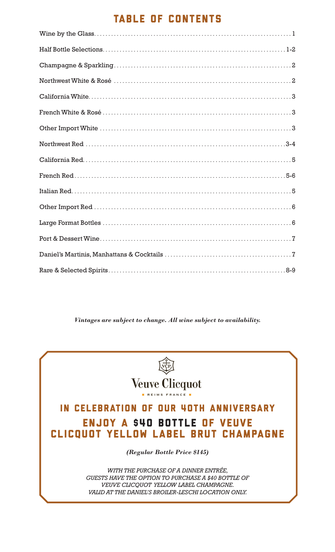# TABLE OF CONTENTS

*Vintages are subject to change. All wine subject to availability.*

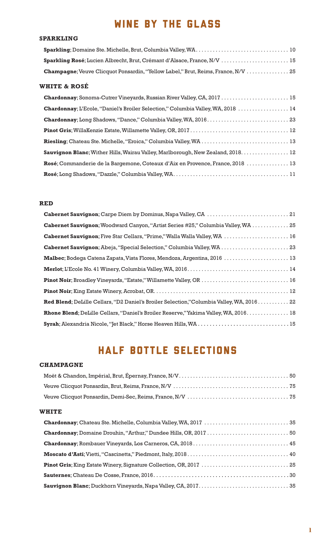# WINE BY THE GLASS

#### **SPARKLING**

| Sparkling Rosé; Lucien Albrecht, Brut, Crémant d'Alsace, France, N/V  15                |
|-----------------------------------------------------------------------------------------|
| <b>Champagne:</b> Veuve Clicquot Ponsardin, "Yellow Label," Brut, Reims, France, N/V 25 |
|                                                                                         |

### **WHITE & ROSÉ**

| Chardonnay; Sonoma-Cutrer Vineyards, Russian River Valley, CA, 2017  15                  |
|------------------------------------------------------------------------------------------|
| Chardonnay; L'Ecole, "Daniel's Broiler Selection," Columbia Valley, WA, 2018  14         |
|                                                                                          |
|                                                                                          |
|                                                                                          |
| <b>Sauvignon Blanc</b> ; Wither Hills, Wairau Valley, Marlborough, New Zealand, 2018. 12 |
| Rosé; Commanderie de la Bargemone, Coteaux d'Aix en Provence, France, 2018  13           |
|                                                                                          |

#### **RED**

| Cabernet Sauvignon; Carpe Diem by Dominus, Napa Valley, CA  21                           |
|------------------------------------------------------------------------------------------|
| Cabernet Sauvignon; Woodward Canyon, "Artist Series #25," Columbia Valley, WA  25        |
| Cabernet Sauvignon; Five Star Cellars, "Prime," Walla Walla Valley, WA  16               |
| Cabernet Sauvignon; Abeja, "Special Selection," Columbia Valley, WA  23                  |
| Malbec; Bodega Catena Zapata, Vista Flores, Mendoza, Argentina, 2016  13                 |
|                                                                                          |
| Pinot Noir; Broadley Vineyards, "Estate," Willamette Valley, OR  16                      |
|                                                                                          |
| Red Blend; DeLille Cellars, "D2 Daniel's Broiler Selection,"Columbia Valley, WA, 2016 22 |
| Rhone Blend; DeLille Cellars, "Daniel's Broiler Reserve," Yakima Valley, WA, 2016 18     |
| Syrah; Alexandria Nicole, "Jet Black," Horse Heaven Hills, WA  15                        |

# HALF BOTTLE SELECTIONS

#### **CHAMPAGNE**

#### **WHITE**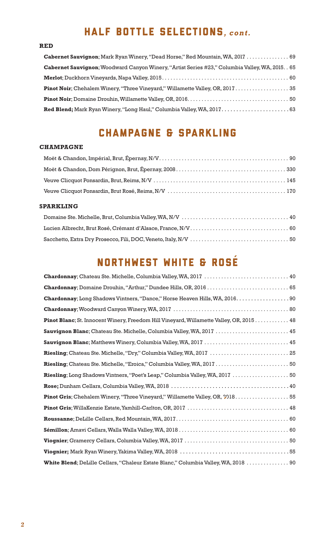# HALF BOTTLE SELECTIONS*, cont.*

#### **RED**

| Cabernet Sauvignon; Mark Ryan Winery, "Dead Horse," Red Mountain, WA, 2017  69                   |
|--------------------------------------------------------------------------------------------------|
| Cabernet Sauvignon; Woodward Canyon Winery, "Artist Series #23," Columbia Valley, WA, 2015. . 65 |
|                                                                                                  |
| <b>Pinot Noir</b> ; Chehalem Winery, "Three Vineyard," Willamette Valley, OR, 2017 35            |
|                                                                                                  |
|                                                                                                  |

### CHAMPAGNE & SPARKLING

#### **CHAMPAGNE**

#### **SPARKLING**

# NORTHWEST WHITE & ROSE

| Chardonnay; Domaine Drouhin, "Arthur," Dundee Hills, OR, 2016  65                       |
|-----------------------------------------------------------------------------------------|
| Chardonnay; Long Shadows Vintners, "Dance," Horse Heaven Hills, WA, 2016.  90           |
|                                                                                         |
| Pinot Blanc; St. Innocent Winery, Freedom Hill Vineyard, Willamette Valley, OR, 2015 48 |
| Sauvignon Blanc; Chateau Ste. Michelle, Columbia Valley, WA, 2017  45                   |
| Sauvignon Blanc; Matthews Winery, Columbia Valley, WA, 2017  45                         |
| Riesling; Chateau Ste. Michelle, "Dry," Columbia Valley, WA, 2017  25                   |
| Riesling; Chateau Ste. Michelle, "Eroica," Columbia Valley, WA, 2017 50                 |
| Riesling; Long Shadows Vintners, "Poet's Leap," Columbia Valley, WA, 2017  50           |
|                                                                                         |
| <b>Pinot Gris</b> ; Chehalem Winery, "Three Vineyard," Willamette Valley, OR, 2018 55   |
|                                                                                         |
|                                                                                         |
|                                                                                         |
|                                                                                         |
|                                                                                         |
| White Blend; DeLille Cellars, "Chaleur Estate Blanc," Columbia Valley, WA, 2018  90     |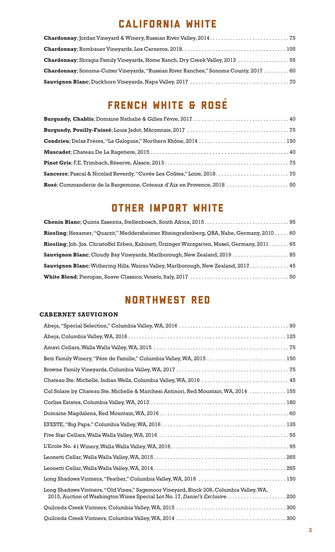# CALIFORNIA WHITE

| Chardonnay; Sbragia Family Vineyards, Home Ranch, Dry Creek Valley, 2013  55                 |  |
|----------------------------------------------------------------------------------------------|--|
| <b>Chardonnay</b> ; Sonoma-Cutrer Vineyards, "Russian River Ranches," Sonoma County, 2017 60 |  |
|                                                                                              |  |

# FRENCH WHITE & ROSÉ

| Condrieu; Delas Frères, "La Galopine," Northern Rhône, 2014  150       |  |
|------------------------------------------------------------------------|--|
|                                                                        |  |
|                                                                        |  |
|                                                                        |  |
| Rosé; Commanderie de la Bargemone, Coteaux d'Aix en Provence, 2018  50 |  |

# OTHER IMPORT WHITE

| <b>Riesling</b> ; Hexamer, "Quarzit," Meddersheimer Rheingrafenberg, QBA, Nahe, Germany, 2010 60 |
|--------------------------------------------------------------------------------------------------|
| Riesling; Joh. Jos. Christoffel Erben, Kabinett, Ürzinger Würzgarten, Mosel, Germany, 2011 65    |
| Sauvignon Blanc; Cloudy Bay Vineyards, Marlborough, New Zealand, 2019  85                        |
| Sauvignon Blanc; Withering Hills, Wairau Valley, Marlborough, New Zealand, 2017 45               |
|                                                                                                  |

# NORTHWEST RED

#### **CABERNET SAUVIGNON**

| Betz Family Winery, "Père de Famille," Columbia Valley, WA, 2015  150                                                                                                  |  |
|------------------------------------------------------------------------------------------------------------------------------------------------------------------------|--|
|                                                                                                                                                                        |  |
| Chateau Ste. Michelle, Indian Wells, Columbia Valley, WA, 2016  45                                                                                                     |  |
| Col Solare by Chateau Ste. Michelle & Marchesi Antinori, Red Mountain, WA, 2014  155                                                                                   |  |
|                                                                                                                                                                        |  |
|                                                                                                                                                                        |  |
|                                                                                                                                                                        |  |
|                                                                                                                                                                        |  |
|                                                                                                                                                                        |  |
|                                                                                                                                                                        |  |
|                                                                                                                                                                        |  |
| Long Shadows Vintners, "Feather," Columbia Valley, WA, 2016  150                                                                                                       |  |
| Long Shadows Vintners, "Old Vines," Sagemoor Vineyard, Block 208, Columbia Valley, WA,<br>2015, Auction of Washington Wines Special Lot No. 17, Daniel's Exclusive 200 |  |
|                                                                                                                                                                        |  |
|                                                                                                                                                                        |  |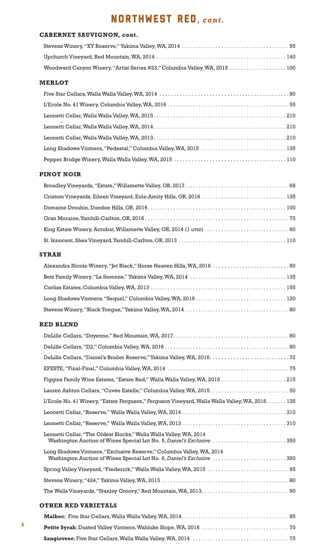# NORTHWEST RED*, cont.*

#### **CABERNET SAUVIGNON, cont.**

| Woodward Canyon Winery, "Artist Series #23," Columbia Valley, WA, 2015  100 |  |
|-----------------------------------------------------------------------------|--|

#### **MERLOT**

| Long Shadows Vintners, "Pedestal," Columbia Valley, WA, 2015  135 |
|-------------------------------------------------------------------|
|                                                                   |

#### **PINOT NOIR**

#### **SYRAH**

| Alexandra Nicole Winery, "Jet Black," Horse Heaven Hills, WA, 2016  60 |  |
|------------------------------------------------------------------------|--|
|                                                                        |  |
|                                                                        |  |
|                                                                        |  |
|                                                                        |  |

#### **RED BLEND**

| DeLille Cellars, "Daniel's Broiler Reserve," Yakima Valley, WA, 2016.  72                                                                      |  |  |
|------------------------------------------------------------------------------------------------------------------------------------------------|--|--|
|                                                                                                                                                |  |  |
|                                                                                                                                                |  |  |
| Lauren Ashton Cellars, "Cuvée Estelle," Columbia Valley, WA, 2015.  50                                                                         |  |  |
| L'Ecole No. 41 Winery, "Estate Ferguson," Ferguson Vineyard, Walla Walla Valley, WA, 2016 135                                                  |  |  |
|                                                                                                                                                |  |  |
|                                                                                                                                                |  |  |
| Leonetti Cellar, "The Oldest Blocks," Walla Walla Valley, WA, 2014<br>Washington Auction of Wines Special Lot No. 5, Daniel's Exclusive 350    |  |  |
| Long Shadows Vintners, "Exclusive Reserve," Columbia Valley, WA, 2014<br>Washington Auction of Wines Special Lot No. 6, Daniel's Exclusive 350 |  |  |
| Spring Valley Vineyard, "Frederick," Walla Walla Valley, WA, 2015  95                                                                          |  |  |
|                                                                                                                                                |  |  |
|                                                                                                                                                |  |  |
| <b>OTHER RED VARIETALS</b>                                                                                                                     |  |  |
|                                                                                                                                                |  |  |
|                                                                                                                                                |  |  |

**Sangiovese**; Five Star Cellars, Walla Walla Valley, WA, 2014 . . . . . . . . . . . . . . . . . . . . . . . . . . . . . . . . . . 75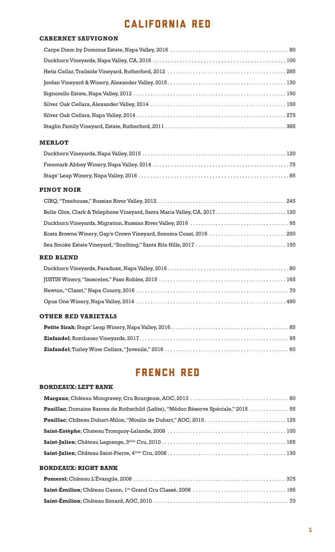# CALIFORNIA RED

#### **CABERNET SAUVIGNON**

#### **MERLOT**

#### **PINOT NOIR**

| Belle Glos, Clark & Telephone Vineyard, Santa Maria Valley, CA, 2017 120 |  |
|--------------------------------------------------------------------------|--|
|                                                                          |  |
|                                                                          |  |
|                                                                          |  |

#### **RED BLEND**

#### **OTHER RED VARIETALS**

# FRENCH RED

#### **BORDEAUX: LEFT BANK**

| Pauillac; Domaine Barons de Rothschild (Lafite), "Médoc Réserve Spéciale," 2015  55 |  |
|-------------------------------------------------------------------------------------|--|
|                                                                                     |  |
|                                                                                     |  |
|                                                                                     |  |
|                                                                                     |  |

#### **BORDEAUX: RIGHT BANK**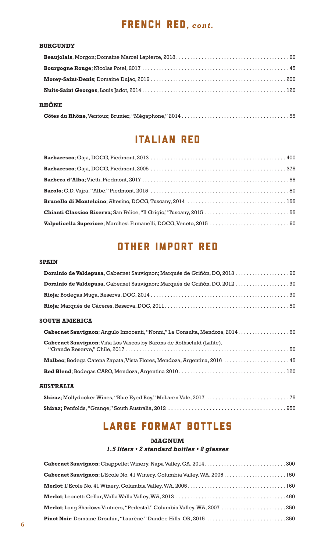### FRENCH RED*, cont.*

#### **BURGUNDY**

| <b>RHÔNE</b> |  |
|--------------|--|
|              |  |

## Italian RED

# other import RED

#### **SPAIN**

| Dominio de Valdepusa, Cabernet Sauvignon; Marqués de Griñón, DO, 2013  90      |
|--------------------------------------------------------------------------------|
|                                                                                |
|                                                                                |
|                                                                                |
| <b>SOUTH AMERICA</b>                                                           |
| Cabernet Sauvignon; Angulo Innocenti, "Nonni," La Consulta, Mendoza, 2014.  60 |
| Cabernet Sauvignon; Viña Los Vascos by Barons de Rothschild (Lafite),          |
| Malbec; Bodega Catena Zapata, Vista Flores, Mendoza, Argentina, 2016  45       |
|                                                                                |
| <b>AUSTRALIA</b>                                                               |

# LARGE FORMAT BOTTLES

#### **MAGNUM**

#### *1.5 liters • 2 standard bottles • 8 glasses*

| Cabernet Sauvignon; L'Ecole No. 41 Winery, Columbia Valley, WA, 2006150  |
|--------------------------------------------------------------------------|
|                                                                          |
|                                                                          |
| Merlot; Long Shadows Vintners, "Pedestal," Columbia Valley, WA, 2007 250 |
|                                                                          |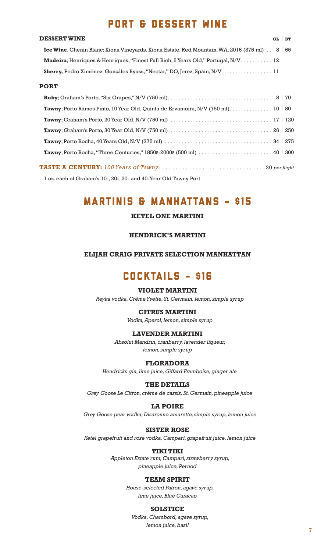### PORT & DESSERT WINE

#### **DESSERT WINE** GL | **BT**

| <b>Ice Wine, Chenin Blanc; Kiona Vineyards, Kiona Estate, Red Mountain, WA, 2016 (375 ml)</b> . 8   65 |  |
|--------------------------------------------------------------------------------------------------------|--|
| Madeira; Henriques & Henriques, "Finest Full Rich, 5 Years Old," Portugal, N/V 12                      |  |
|                                                                                                        |  |

#### **PORT**

| Tawny; Porto Ramos Pinto, 10 Year Old, Quinta de Ervamoira, N/V (750 ml) 10   80                                                                    |  |
|-----------------------------------------------------------------------------------------------------------------------------------------------------|--|
| <b>Tawny</b> ; Graham's Porto, 20 Year Old, N/V (750 ml) $\ldots \ldots \ldots \ldots \ldots \ldots \ldots \ldots \ldots \ldots \ldots 17 \mid 120$ |  |
|                                                                                                                                                     |  |
|                                                                                                                                                     |  |
|                                                                                                                                                     |  |
|                                                                                                                                                     |  |

**TASTE A CENTURY:** *100 Years of Tawny* . . . . . . . . . . . . . . . . . . . . . . . . . . . . . . . . 30 *per flight*

1 oz. each of Graham's 10-, 20-, 20- and 40-Year Old Tawny Port

### MARTINIS & MANHATTANS - \$15

#### **KETEL ONE MARTINI**

#### **HENDRICK'S MARTINI**

#### **ELIJAH CRAIG PRIVATE SELECTION MANHATTAN**

### COCKTAILS - \$16

#### **VIOLET MARTINI**

*Reyka vodka, Crème Yvette, St. Germain, lemon, simple syrup*

#### **CITRUS MARTINI**

*Vodka, Aperol, lemon, simple syrup*

#### **LAVENDER MARTINI**

*Absolut Mandrin, cranberry, lavender liqueur, lemon, simple syrup*

#### **FLORADORA**

*Hendricks gin, lime juice, Giffard Framboise, ginger ale*

#### **THE DETAILS**

*Grey Goose Le Citron, crème de cassis, St. Germain, pineapple juice*

#### **LA POIRE**

*Grey Goose pear vodka, Disaronno amaretto, simple syrup, lemon juice*

#### **SISTER ROSE**

*Ketel grapefruit and rose vodka, Campari, grapefruit juice, lemon juice*

#### **TIKI TIKI**

 *Appleton Estate rum, Campari, strawberry syrup, pineapple juice, Pernod*

#### **TEAM SPIRIT**

*House-selected Patron, agave syrup, lime juice, Blue Curacao*

#### **SOLSTICE**

*Vodka, Chambord, agave syrup, lemon juice, basil*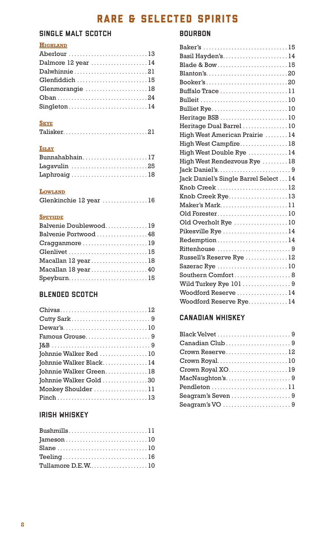# RARE & SELECTED SPIRITS

### SINGLE MALT SCOTCH

### **HIGHLAND**

| Aberlour 13        |  |
|--------------------|--|
| Dalmore 12 year 14 |  |
| Dalwhinnie21       |  |
| Glenfiddich 15     |  |
| Glenmorangie 18    |  |
|                    |  |
| Singleton14        |  |

#### **SKYE**

| $\textbf{Talisker}. \dots \dots \dots \dots \dots \dots \dots \dots \dots \dots \dots 21$ |  |  |  |  |  |  |  |  |  |  |  |  |  |  |  |
|-------------------------------------------------------------------------------------------|--|--|--|--|--|--|--|--|--|--|--|--|--|--|--|
|                                                                                           |  |  |  |  |  |  |  |  |  |  |  |  |  |  |  |

### **ISLAY**

| Bunnahabhain17 |  |  |
|----------------|--|--|
|                |  |  |
| Laphroaig 18   |  |  |

#### **LOWLAND**

| Glenkinchie 12 year  16 |  |  |  |  |  |  |  |  |  |  |  |  |  |  |  |  |  |  |  |  |
|-------------------------|--|--|--|--|--|--|--|--|--|--|--|--|--|--|--|--|--|--|--|--|
|-------------------------|--|--|--|--|--|--|--|--|--|--|--|--|--|--|--|--|--|--|--|--|

#### **SPEYSIDE**

| Balvenie Doublewood19 |  |
|-----------------------|--|
| Balvenie Portwood  48 |  |
| Cragganmore 19        |  |
| Glenlivet 15          |  |
| Macallan 12 year18    |  |
| Macallan 18 year40    |  |
| Speyburn15            |  |

### BLENDED SCOTCH

| Chivas12                |
|-------------------------|
|                         |
|                         |
| Famous Grouse9          |
|                         |
| Johnnie Walker Red 10   |
| Johnnie Walker Black 14 |
| Johnnie Walker Green18  |
| Johnnie Walker Gold 30  |
| Monkey Shoulder 11      |
|                         |

### IRISH WHISKEY

| Bushmills11       |  |
|-------------------|--|
|                   |  |
|                   |  |
| Teeling16         |  |
| Tullamore D.E.W10 |  |

### BOURBON

| Baker's 15                            |
|---------------------------------------|
| Basil Hayden's14                      |
|                                       |
| Blanton's20                           |
| Booker's20                            |
| Buffalo Trace 11                      |
|                                       |
| Bulliet Rye10                         |
| Heritage BSB 10                       |
| Heritage Dual Barrel 10               |
| High West American Prairie  14        |
| High West Campfire 18                 |
| High West Double Rye  14              |
| High West Rendezvous Rye  18          |
| Jack Daniel's9                        |
| Jack Daniel's Single Barrel Select 14 |
| Knob Creek 12                         |
| Knob Creek Rye13                      |
| Maker's Mark11                        |
| Old Forester10                        |
| Old Overholt Rye 10                   |
| Pikesville Rye 14                     |
| Redemption14                          |
| Rittenhouse 9                         |
| Russell's Reserve Rye  12             |
| Sazerac Rye 10                        |
| Southern Comfort 8                    |
| Wild Turkey Rye 101  9                |
| Woodford Reserve  14                  |
| Woodford Reserve Rye 14               |

### CANADIAN WHISKEY

| Canadian Club9    |
|-------------------|
| Crown Reserve12   |
| Crown Royal10     |
|                   |
| MacNaughton's9    |
| Pendleton 11      |
| Seagram's Seven 9 |
| Seagram's VO 9    |